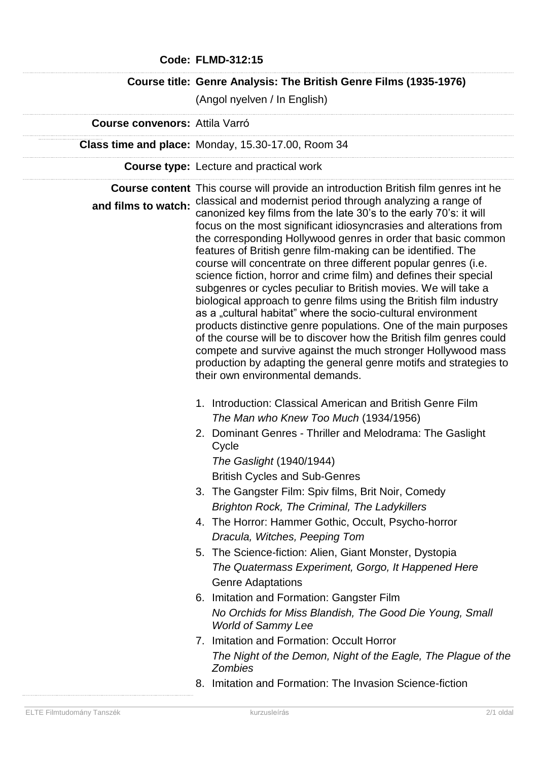|                                       | <b>Code: FLMD-312:15</b>                                                                                                                                                                                                                                                                                                                                                                                                                                                                                                                                                                                                                                                                                                                                                                                                                                                                                                                                                                                                                                                                                |
|---------------------------------------|---------------------------------------------------------------------------------------------------------------------------------------------------------------------------------------------------------------------------------------------------------------------------------------------------------------------------------------------------------------------------------------------------------------------------------------------------------------------------------------------------------------------------------------------------------------------------------------------------------------------------------------------------------------------------------------------------------------------------------------------------------------------------------------------------------------------------------------------------------------------------------------------------------------------------------------------------------------------------------------------------------------------------------------------------------------------------------------------------------|
|                                       | Course title: Genre Analysis: The British Genre Films (1935-1976)                                                                                                                                                                                                                                                                                                                                                                                                                                                                                                                                                                                                                                                                                                                                                                                                                                                                                                                                                                                                                                       |
|                                       | (Angol nyelven / In English)                                                                                                                                                                                                                                                                                                                                                                                                                                                                                                                                                                                                                                                                                                                                                                                                                                                                                                                                                                                                                                                                            |
| <b>Course convenors: Attila Varró</b> |                                                                                                                                                                                                                                                                                                                                                                                                                                                                                                                                                                                                                                                                                                                                                                                                                                                                                                                                                                                                                                                                                                         |
|                                       | Class time and place: Monday, 15.30-17.00, Room 34                                                                                                                                                                                                                                                                                                                                                                                                                                                                                                                                                                                                                                                                                                                                                                                                                                                                                                                                                                                                                                                      |
|                                       | <b>Course type:</b> Lecture and practical work                                                                                                                                                                                                                                                                                                                                                                                                                                                                                                                                                                                                                                                                                                                                                                                                                                                                                                                                                                                                                                                          |
| and films to watch:                   | <b>Course content</b> This course will provide an introduction British film genres int he<br>classical and modernist period through analyzing a range of<br>canonized key films from the late 30's to the early 70's: it will<br>focus on the most significant idiosyncrasies and alterations from<br>the corresponding Hollywood genres in order that basic common<br>features of British genre film-making can be identified. The<br>course will concentrate on three different popular genres (i.e.<br>science fiction, horror and crime film) and defines their special<br>subgenres or cycles peculiar to British movies. We will take a<br>biological approach to genre films using the British film industry<br>as a "cultural habitat" where the socio-cultural environment<br>products distinctive genre populations. One of the main purposes<br>of the course will be to discover how the British film genres could<br>compete and survive against the much stronger Hollywood mass<br>production by adapting the general genre motifs and strategies to<br>their own environmental demands. |
|                                       | 1. Introduction: Classical American and British Genre Film<br>The Man who Knew Too Much (1934/1956)<br>2. Dominant Genres - Thriller and Melodrama: The Gaslight<br>Cycle<br>The Gaslight (1940/1944)<br><b>British Cycles and Sub-Genres</b>                                                                                                                                                                                                                                                                                                                                                                                                                                                                                                                                                                                                                                                                                                                                                                                                                                                           |
|                                       | 3. The Gangster Film: Spiv films, Brit Noir, Comedy<br><b>Brighton Rock, The Criminal, The Ladykillers</b><br>4. The Horror: Hammer Gothic, Occult, Psycho-horror<br>Dracula, Witches, Peeping Tom<br>5. The Science-fiction: Alien, Giant Monster, Dystopia<br>The Quatermass Experiment, Gorgo, It Happened Here<br><b>Genre Adaptations</b><br>6. Imitation and Formation: Gangster Film                                                                                                                                                                                                                                                                                                                                                                                                                                                                                                                                                                                                                                                                                                             |
|                                       | No Orchids for Miss Blandish, The Good Die Young, Small<br><b>World of Sammy Lee</b><br>7. Imitation and Formation: Occult Horror<br>The Night of the Demon, Night of the Eagle, The Plague of the<br><b>Zombies</b><br>8. Imitation and Formation: The Invasion Science-fiction                                                                                                                                                                                                                                                                                                                                                                                                                                                                                                                                                                                                                                                                                                                                                                                                                        |